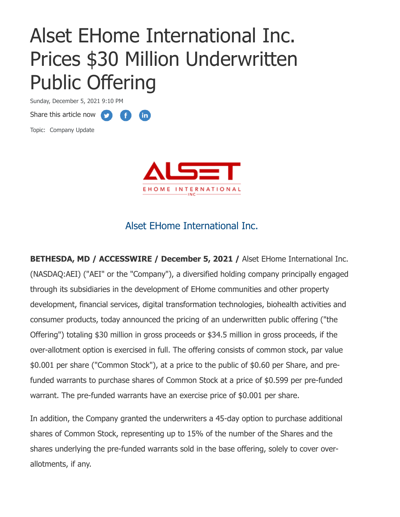# Alset EHome International Inc. Prices \$30 Million Underwritten Public Offering

**fin** 

Sunday, December 5, 2021 9:10 PM

Share this article now **the state** 

Topic: Company Update



## Alset EHome International Inc.

**BETHESDA, MD / ACCESSWIRE / December 5, 2021 /** Alset EHome International Inc. (NASDAQ:AEI) ("AEI" or the "Company"), a diversified holding company principally engaged through its subsidiaries in the development of EHome communities and other property development, financial services, digital transformation technologies, biohealth activities and consumer products, today announced the pricing of an underwritten public offering ("the Offering") totaling \$30 million in gross proceeds or \$34.5 million in gross proceeds, if the over-allotment option is exercised in full. The offering consists of common stock, par value \$0.001 per share ("Common Stock"), at a price to the public of \$0.60 per Share, and prefunded warrants to purchase shares of Common Stock at a price of \$0.599 per pre-funded warrant. The pre-funded warrants have an exercise price of \$0.001 per share.

In addition, the Company granted the underwriters a 45-day option to purchase additional shares of Common Stock, representing up to 15% of the number of the Shares and the shares underlying the pre-funded warrants sold in the base offering, solely to cover overallotments, if any.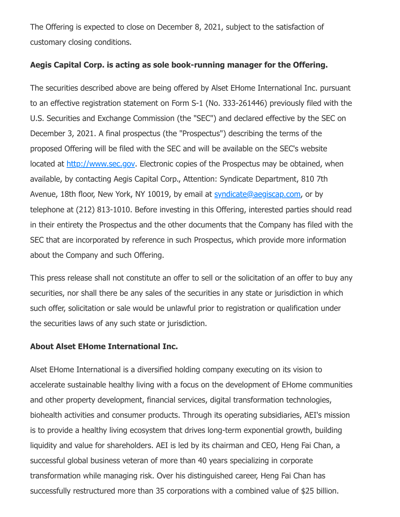The Offering is expected to close on December 8, 2021, subject to the satisfaction of customary closing conditions.

#### **Aegis Capital Corp. is acting as sole book-running manager for the Offering.**

The securities described above are being offered by Alset EHome International Inc. pursuant to an effective registration statement on Form S-1 (No. 333-261446) previously filed with the U.S. Securities and Exchange Commission (the "SEC") and declared effective by the SEC on December 3, 2021. A final prospectus (the "Prospectus") describing the terms of the proposed Offering will be filed with the SEC and will be available on the SEC's website located at [http://www.sec.gov.](https://pr.report/AOToZRBl) Electronic copies of the Prospectus may be obtained, when available, by contacting Aegis Capital Corp., Attention: Syndicate Department, 810 7th Avenue, 18th floor, New York, NY 10019, by email at [syndicate@aegiscap.com](mailto:syndicate@aegiscap.com), or by telephone at (212) 813-1010. Before investing in this Offering, interested parties should read in their entirety the Prospectus and the other documents that the Company has filed with the SEC that are incorporated by reference in such Prospectus, which provide more information about the Company and such Offering.

This press release shall not constitute an offer to sell or the solicitation of an offer to buy any securities, nor shall there be any sales of the securities in any state or jurisdiction in which such offer, solicitation or sale would be unlawful prior to registration or qualification under the securities laws of any such state or jurisdiction.

### **About Alset EHome International Inc.**

Alset EHome International is a diversified holding company executing on its vision to accelerate sustainable healthy living with a focus on the development of EHome communities and other property development, financial services, digital transformation technologies, biohealth activities and consumer products. Through its operating subsidiaries, AEI's mission is to provide a healthy living ecosystem that drives long-term exponential growth, building liquidity and value for shareholders. AEI is led by its chairman and CEO, Heng Fai Chan, a successful global business veteran of more than 40 years specializing in corporate transformation while managing risk. Over his distinguished career, Heng Fai Chan has successfully restructured more than 35 corporations with a combined value of \$25 billion.